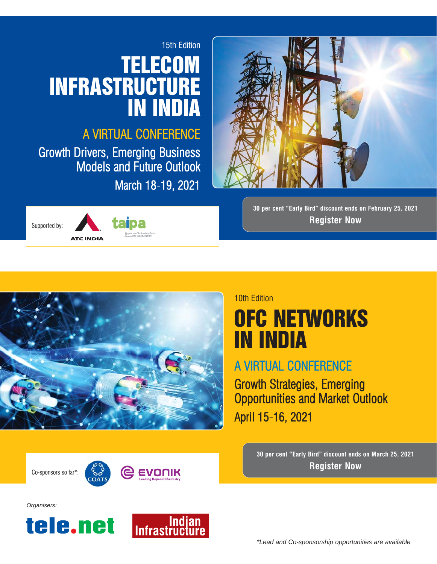## 15th Edition **TELECOM** INFRASTRUCTURE IN INDIA

## A VIRTUAL CONFERENCE

Growth Drivers, Emerging Business Models and Future Outlook March 18-19, 2021





**30 per cent "Early Bird" discount ends on February 25, 2021 Register Now**



### 10th Edition

## **OFC NETWORKS** IN INDIA

## A VIRTUAL CONFERENCE

Growth Strategies, Emerging Opportunities and Market Outlook April 15-16, 2021

**30 per cent "Early Bird" discount ends on March 25, 2021** Co-sponsors so far\*:  $\begin{matrix} \begin{matrix} \bullet & \bullet \\ \bullet & \bullet \end{matrix} \end{matrix}$  **Register Now** 



*Organisers:*



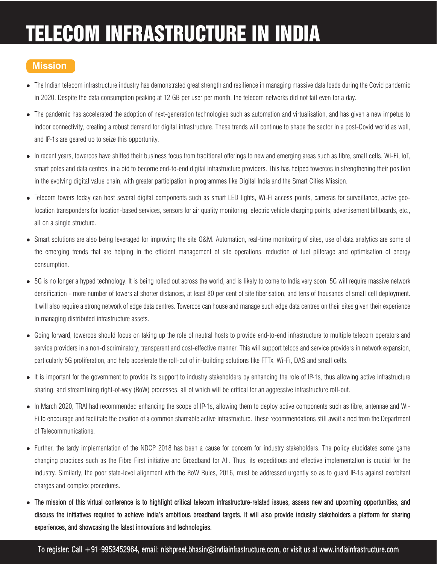# TELECOM INFRASTRUCTURE IN INDIA

## **Mission**

- The Indian telecom infrastructure industry has demonstrated great strength and resilience in managing massive data loads during the Covid pandemic in 2020. Despite the data consumption peaking at 12 GB per user per month, the telecom networks did not fail even for a day.
- The pandemic has accelerated the adoption of next-generation technologies such as automation and virtualisation, and has given a new impetus to indoor connectivity, creating a robust demand for digital infrastructure. These trends will continue to shape the sector in a post-Covid world as well, and IP-1s are geared up to seize this opportunity.
- In recent years, towercos have shifted their business focus from traditional offerings to new and emerging areas such as fibre, small cells, Wi-Fi, IoT, smart poles and data centres, in a bid to become end-to-end digital infrastructure providers. This has helped towercos in strengthening their position in the evolving digital value chain, with greater participation in programmes like Digital India and the Smart Cities Mission.
- Telecom towers today can host several digital components such as smart LED lights, Wi-Fi access points, cameras for surveillance, active geolocation transponders for location-based services, sensors for air quality monitoring, electric vehicle charging points, advertisement billboards, etc., all on a single structure.
- Smart solutions are also being leveraged for improving the site O&M. Automation, real-time monitoring of sites, use of data analytics are some of the emerging trends that are helping in the efficient management of site operations, reduction of fuel pilferage and optimisation of energy consumption.
- 5G is no longer a hyped technology. It is being rolled out across the world, and is likely to come to India very soon. 5G will require massive network densification - more number of towers at shorter distances, at least 80 per cent of site fiberisation, and tens of thousands of small cell deployment. It will also require a strong network of edge data centres. Towercos can house and manage such edge data centres on their sites given their experience in managing distributed infrastructure assets.
- Going forward, towercos should focus on taking up the role of neutral hosts to provide end-to-end infrastructure to multiple telecom operators and service providers in a non-discriminatory, transparent and cost-effective manner. This will support telcos and service providers in network expansion, particularly 5G proliferation, and help accelerate the roll-out of in-building solutions like FTTx, Wi-Fi, DAS and small cells.
- It is important for the government to provide its support to industry stakeholders by enhancing the role of IP-1s, thus allowing active infrastructure sharing, and streamlining right-of-way (RoW) processes, all of which will be critical for an aggressive infrastructure roll-out.
- In March 2020, TRAI had recommended enhancing the scope of IP-1s, allowing them to deploy active components such as fibre, antennae and Wi-Fi to encourage and facilitate the creation of a common shareable active infrastructure. These recommendations still await a nod from the Department of Telecommunications.
- Further, the tardy implementation of the NDCP 2018 has been a cause for concern for industry stakeholders. The policy elucidates some game changing practices such as the Fibre First initiative and Broadband for All. Thus, its expeditious and effective implementation is crucial for the industry. Similarly, the poor state-level alignment with the RoW Rules, 2016, must be addressed urgently so as to guard IP-1s against exorbitant charges and complex procedures.
- The mission of this virtual conference is to highlight critical telecom infrastructure-related issues, assess new and upcoming opportunities, and discuss the initiatives required to achieve India's ambitious broadband targets. It will also provide industry stakeholders a platform for sharing experiences, and showcasing the latest innovations and technologies.

To register: Call +91-9953452964, email: nishpreet.bhasin@indiainfrastructure.com, or visit us at www.indiainfrastructure.com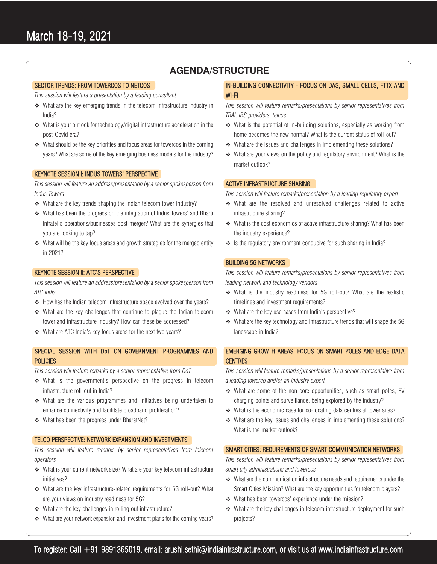### **AGENDA/STRUCTURE**

#### SECTOR TRENDS: FROM TOWERCOS TO NETCOS

*This session will feature a presentation by a leading consultant*

- What are the key emerging trends in the telecom infrastructure industry in India?
- What is your outlook for technology/digital infrastructure acceleration in the post-Covid era?
- What should be the key priorities and focus areas for towercos in the coming years? What are some of the key emerging business models for the industry?

#### KEYNOTE SESSION I: INDUS TOWERS' PERSPECTIVE

*This session will feature an address/presentation by a senior spokesperson from Indus Towers*

- What are the key trends shaping the Indian telecom tower industry?
- What has been the progress on the integration of Indus Towers' and Bharti Infratel's operations/businesses post merger? What are the synergies that you are looking to tap?
- What will be the key focus areas and growth strategies for the merged entity in 2021?

#### KEYNOTE SESSION II: ATC'S PERSPECTIVE

*This session will feature an address/presentation by a senior spokesperson from ATC India*

- $\div$  How has the Indian telecom infrastructure space evolved over the years?
- What are the key challenges that continue to plague the Indian telecom tower and infrastructure industry? How can these be addressed?
- What are ATC India's key focus areas for the next two years?

#### SPECIAL SESSION WITH DoT ON GOVERNMENT PROGRAMMES AND **POLICIES**

*This session will feature remarks by a senior representative from DoT*

- What is the government's perspective on the progress in telecom infrastructure roll-out in India?
- What are the various programmes and initiatives being undertaken to enhance connectivity and facilitate broadband proliferation?
- ◆ What has been the progress under BharatNet?

#### TELCO PERSPECTIVE: NETWORK EXPANSION AND INVESTMENTS

*This session will feature remarks by senior representatives from telecom operators*

- What is your current network size? What are your key telecom infrastructure initiatives?
- What are the key infrastructure-related requirements for 5G roll-out? What are your views on industry readiness for 5G?
- ◆ What are the key challenges in rolling out infrastructure?
- What are your network expansion and investment plans for the coming years?

#### IN-BUILDING CONNECTIVITY - FOCUS ON DAS, SMALL CELLS, FTTX AND WI-FI

*This session will feature remarks/presentations by senior representatives from TRAI, IBS providers, telcos*

- What is the potential of in-building solutions, especially as working from home becomes the new normal? What is the current status of roll-out?
- ◆ What are the issues and challenges in implementing these solutions?
- What are your views on the policy and regulatory environment? What is the market outlook?

#### ACTIVE INFRASTRUCTURE SHARING

*This session will feature remarks/presentation by a leading regulatory expert*

- What are the resolved and unresolved challenges related to active infrastructure sharing?
- ◆ What is the cost economics of active infrastructure sharing? What has been the industry experience?
- $\cdot$  Is the regulatory environment conducive for such sharing in India?

#### BUILDING 5G NETWORKS

*This session will feature remarks/presentations by senior representatives from leading network and technology vendors*

- What is the industry readiness for 5G roll-out? What are the realistic timelines and investment requirements?
- What are the key use cases from India's perspective?
- $\cdot$  What are the key technology and infrastructure trends that will shape the 5G landscape in India?

#### EMERGING GROWTH AREAS: FOCUS ON SMART POLES AND EDGE DATA **CENTRES**

*This session will feature remarks/presentations by a senior representative from a leading towerco and/or an industry expert*

- What are some of the non-core opportunities, such as smart poles, EV charging points and surveillance, being explored by the industry?
- \* What is the economic case for co-locating data centres at tower sites?
- What are the key issues and challenges in implementing these solutions? What is the market outlook?

#### SMART CITIES: REQUIREMENTS OF SMART COMMUNICATION NETWORKS

*This session will feature remarks/presentations by senior representatives from smart city administrations and towercos* 

- What are the communication infrastructure needs and requirements under the Smart Cities Mission? What are the key opportunities for telecom players?
- \* What has been towercos' experience under the mission?
- What are the key challenges in telecom infrastructure deployment for such projects?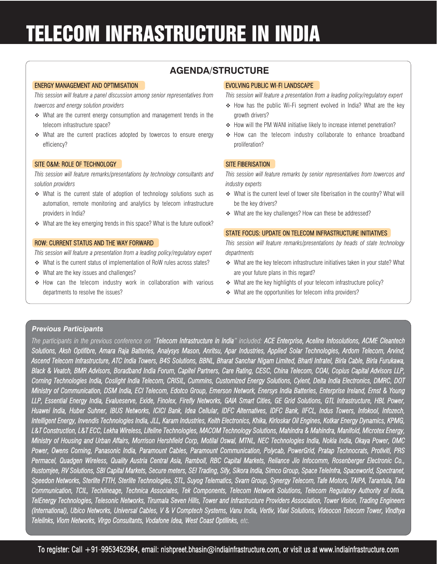# TELECOM INFRASTRUCTURE IN INDIA

## **AGENDA/STRUCTURE**

#### ENERGY MANAGEMENT AND OPTIMISATION

*This session will feature a panel discussion among senior representatives from towercos and energy solution providers* 

- What are the current energy consumption and management trends in the telecom infrastructure space?
- What are the current practices adopted by towercos to ensure energy efficiency?

#### SITE O&M: ROLE OF TECHNOLOGY

*This session will feature remarks/presentations by technology consultants and solution providers*

- What is the current state of adoption of technology solutions such as automation, remote monitoring and analytics by telecom infrastructure providers in India?
- What are the key emerging trends in this space? What is the future outlook?

#### ROW: CURRENT STATUS AND THE WAY FORWARD

*This session will feature a presentation from a leading policy/regulatory expert* 

- What is the current status of implementation of RoW rules across states?
- ◆ What are the key issues and challenges?
- \* How can the telecom industry work in collaboration with various departments to resolve the issues?

#### EVOLVING PUBLIC WI-FI LANDSCAPE

*This session will feature a presentation from a leading policy/regulatory expert* 

- ◆ How has the public Wi-Fi segment evolved in India? What are the key growth drivers?
- ◆ How will the PM WANI initiative likely to increase internet penetration?
- \* How can the telecom industry collaborate to enhance broadband proliferation?

#### SITE FIBERISATION

*This session will feature remarks by senior representatives from towercos and industry experts*

- What is the current level of tower site fiberisation in the country? What will be the key drivers?
- \* What are the key challenges? How can these be addressed?

#### STATE FOCUS: UPDATE ON TELECOM INFRASTRUCTURE INITIATIVES

*This session will feature remarks/presentations by heads of state technology departments*

- What are the key telecom infrastructure initiatives taken in your state? What are your future plans in this regard?
- ◆ What are the key highlights of your telecom infrastructure policy?
- What are the opportunities for telecom infra providers?

#### *Previous Participants*

*The participants in the previous conference on "Telecom Infrastructure in India" included: ACE Enterprise, Aceline Infosolutions, ACME Cleantech Solutions, Aksh Optifibre, Amara Raja Batteries, Analysys Mason, Anritsu, Apar Industries, Applied Solar Technologies, Ardom Telecom, Arvind, Ascend Telecom Infrastructure, ATC India Towers, B4S Solutions, BBNL, Bharat Sanchar Nigam Limited, Bharti Infratel, Birla Cable, Birla Furukawa, Black & Veatch, BMR Advisors, Boradband India Forum, Capitel Partners, Care Rating, CESC, China Telecom, COAI, Copius Capital Advisors LLP, Corning Technologies India, Coslight India Telecom, CRISIL, Cummins, Customized Energy Solutions, Cyient, Delta India Electronics, DMRC, DOT Ministry of Communication, DSM India, ECI Telecom, Edotco Group, Emerson Network, Enersys India Batteries, Enterprise Ireland, Ernst & Young LLP, Essential Energy India, Evalueserve, Exide, Finolex, Firefly Networks, GAIA Smart Cities, GE Grid Solutions, GTL Infrastructure, HBL Power, Huawei India, Huber Suhner, IBUS Networks, ICICI Bank, Idea Cellular, IDFC Alternatives, IDFC Bank, IIFCL, Indus Towers, Infokool, Infozech, Intelligent Energy, Invendis Technologies India, JLL, Karam Industries, Keith Electronics, Khika, Kirloskar Oil Engines, Kotkar Energy Dynamics, KPMG, L&T Construction, L&T ECC, Lekha Wireless, Lifeline Technologies, MACOM Technology Solutions, Mahindra & Mahindra, Manifold, Microtex Energy, Ministry of Housing and Urban Affairs, Morrison Hershfield Corp, Motilal Oswal, MTNL, NEC Technologies India, Nokia India, Okaya Power, OMC Power, Owens Corning, Panasonic India, Paramount Cables, Paramount Communication, Polycab, PowerGrid, Pratap Technocrats, Protiviti, PRS Permacel, Quadgen Wireless, Quality Austria Central Asia, Ramboll, RBC Capital Markets, Reliance Jio Infocomm, Rosenberger Electronic Co., Rustomjee, RV Solutions, SBI Capital Markets, Secure meters, SEI Trading, Sify, Sikora India, Simco Group, Space TeleInfra, Spaceworld, Spectranet, Speedon Networks, Sterlite FTTH, Sterlite Technologies, STL, Suyog Telematics, Svarn Group, Synergy Telecom, Tafe Motors, TAIPA, Tarantula, Tata Communication, TCIL, Techlineage, Technica Associates, Tek Components, Telecom Network Solutions, Telecom Regulatory Authority of India, TelEnergy Technologies, Telesonic Networks, Tirumala Seven Hills, Tower and Infrastructure Providers Association, Tower Vision, Trading Engineers (International), Ubico Networks, Universal Cables, V & V Comptech Systems, Vanu India, Vertiv, Viavi Solutions, Videocon Telecom Tower, Vindhya Telelinks, Viom Networks, Virgo Consultants, Vodafone Idea, West Coast Optilinks, etc.*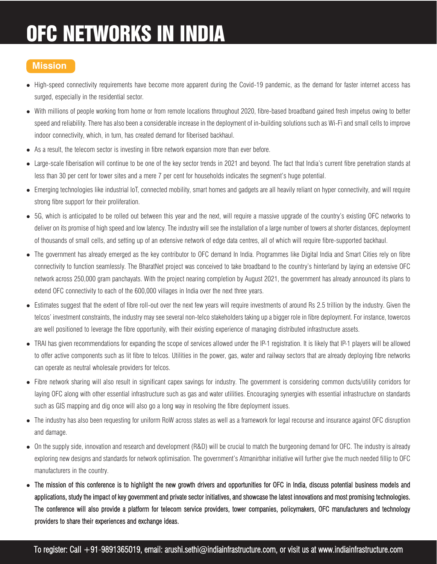# OFC NETWORKS IN INDIA

## **Mission**

- High-speed connectivity requirements have become more apparent during the Covid-19 pandemic, as the demand for faster internet access has surged, especially in the residential sector.
- With millions of people working from home or from remote locations throughout 2020, fibre-based broadband gained fresh impetus owing to better speed and reliability. There has also been a considerable increase in the deployment of in-building solutions such as Wi-Fi and small cells to improve indoor connectivity, which, in turn, has created demand for fiberised backhaul.
- As a result, the telecom sector is investing in fibre network expansion more than ever before.
- Large-scale fiberisation will continue to be one of the key sector trends in 2021 and beyond. The fact that India's current fibre penetration stands at less than 30 per cent for tower sites and a mere 7 per cent for households indicates the segment's huge potential.
- Emerging technologies like industrial loT, connected mobility, smart homes and gadgets are all heavily reliant on hyper connectivity, and will require strong fibre support for their proliferation.
- 5G, which is anticipated to be rolled out between this year and the next, will require a massive upgrade of the country's existing OFC networks to deliver on its promise of high speed and low latency. The industry will see the installation of a large number of towers at shorter distances, deployment of thousands of small cells, and setting up of an extensive network of edge data centres, all of which will require fibre-supported backhaul.
- The government has already emerged as the key contributor to OFC demand In India. Programmes like Digital India and Smart Cities rely on fibre connectivity to function seamlessly. The BharatNet project was conceived to take broadband to the country's hinterland by laying an extensive OFC network across 250,000 gram panchayats. With the project nearing completion by August 2021, the government has already announced its plans to extend OFC connectivity to each of the 600,000 villages in India over the next three years.
- Estimates suggest that the extent of fibre roll-out over the next few years will require investments of around Rs 2.5 trillion by the industry. Given the telcos' investment constraints, the industry may see several non-telco stakeholders taking up a bigger role in fibre deployment. For instance, towercos are well positioned to leverage the fibre opportunity, with their existing experience of managing distributed infrastructure assets.
- TRAI has given recommendations for expanding the scope of services allowed under the IP-1 registration. It is likely that IP-1 players will be allowed to offer active components such as lit fibre to telcos. Utilities in the power, gas, water and railway sectors that are already deploying fibre networks can operate as neutral wholesale providers for telcos.
- Fibre network sharing will also result in significant capex savings for industry. The government is considering common ducts/utility corridors for laying OFC along with other essential infrastructure such as gas and water utilities. Encouraging synergies with essential infrastructure on standards such as GIS mapping and dig once will also go a long way in resolving the fibre deployment issues.
- The industry has also been requesting for uniform RoW across states as well as a framework for legal recourse and insurance against OFC disruption and damage.
- On the supply side, innovation and research and development (R&D) will be crucial to match the burgeoning demand for OFC. The industry is already exploring new designs and standards for network optimisation. The government's Atmanirbhar initiative will further give the much needed fillip to OFC manufacturers in the country.
- The mission of this conference is to highlight the new growth drivers and opportunities for OFC in India, discuss potential business models and applications, study the impact of key government and private sector initiatives, and showcase the latest innovations and most promising technologies. The conference will also provide a platform for telecom service providers, tower companies, policymakers, OFC manufacturers and technology providers to share their experiences and exchange ideas.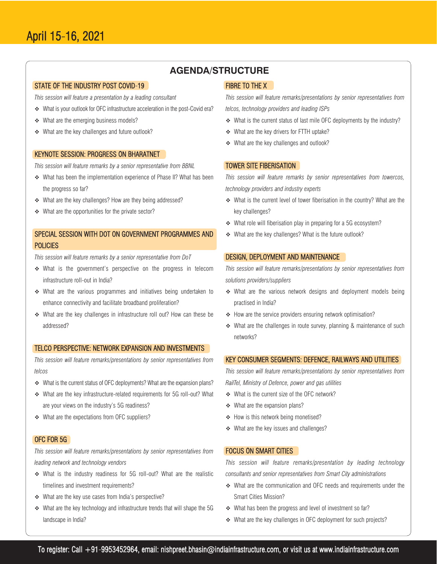### **AGENDA/STRUCTURE**

#### STATE OF THE INDUSTRY POST COVID-19

*This session will feature a presentation by a leading consultant*

- What is your outlook for OFC infrastructure acceleration in the post-Covid era?
- ◆ What are the emerging business models?
- What are the key challenges and future outlook?

#### KEYNOTE SESSION: PROGRESS ON BHARATNET

*This session will feature remarks by a senior representative from BBNL*

- What has been the implementation experience of Phase II? What has been the progress so far?
- ◆ What are the key challenges? How are they being addressed?
- What are the opportunities for the private sector?

#### SPECIAL SESSION WITH DOT ON GOVERNMENT PROGRAMMES AND **POLICIES**

*This session will feature remarks by a senior representative from DoT*

- What is the government's perspective on the progress in telecom infrastructure roll-out in India?
- What are the various programmes and initiatives being undertaken to enhance connectivity and facilitate broadband proliferation?
- What are the key challenges in infrastructure roll out? How can these be addressed?

#### TELCO PERSPECTIVE: NETWORK EXPANSION AND INVESTMENTS

*This session will feature remarks/presentations by senior representatives from telcos*

- What is the current status of OFC deployments? What are the expansion plans?
- What are the key infrastructure-related requirements for 5G roll-out? What are your views on the industry's 5G readiness?
- ◆ What are the expectations from OFC suppliers?

#### OFC FOR 5G

*This session will feature remarks/presentations by senior representatives from leading network and technology vendors*

- What is the industry readiness for 5G roll-out? What are the realistic timelines and investment requirements?
- What are the key use cases from India's perspective?
- What are the key technology and infrastructure trends that will shape the 5G landscape in India?

#### FIBRE TO THE X

*This session will feature remarks/presentations by senior representatives from telcos, technology providers and leading ISPs*

- What is the current status of last mile OFC deployments by the industry?
- What are the key drivers for FTTH uptake?
- What are the key challenges and outlook?

#### TOWER SITE FIBERISATION

*This session will feature remarks by senior representatives from towercos, technology providers and industry experts*

- What is the current level of tower fiberisation in the country? What are the key challenges?
- What role will fiberisation play in preparing for a 5G ecosystem?
- What are the key challenges? What is the future outlook?

#### DESIGN, DEPLOYMENT AND MAINTENANCE

*This session will feature remarks/presentations by senior representatives from solutions providers/suppliers*

- What are the various network designs and deployment models being practised in India?
- $\div$  How are the service providers ensuring network optimisation?
- What are the challenges in route survey, planning & maintenance of such networks?

#### KEY CONSUMER SEGMENTS: DEFENCE, RAILWAYS AND UTILITIES

*This session will feature remarks/presentations by senior representatives from RailTel, Ministry of Defence, power and gas utilities* 

- What is the current size of the OFC network?
- What are the expansion plans?
- ◆ How is this network being monetised?
- ◆ What are the key issues and challenges?

#### FOCUS ON SMART CITIES

*This session will feature remarks/presentation by leading technology consultants and senior representatives from Smart City administrations* 

- What are the communication and OFC needs and requirements under the Smart Cities Mission?
- ◆ What has been the progress and level of investment so far?
- What are the key challenges in OFC deployment for such projects?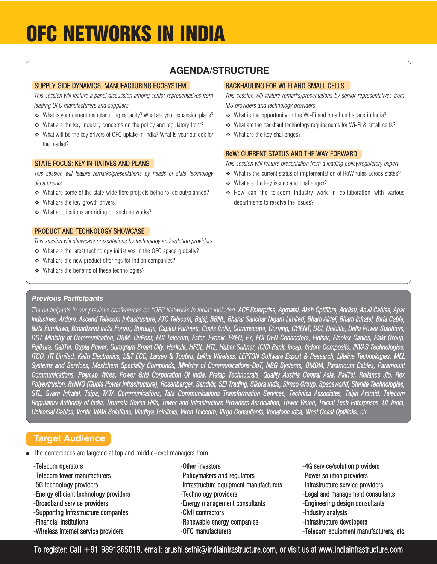## OFC NETWORKS IN INDIA

## **AGENDA/STRUCTURE**

#### SUPPLY-SIDE DYNAMICS: MANUFACTURING ECOSYSTEM

*This session will feature a panel discussion among senior representatives from leading OFC manufacturers and suppliers*

- What is your current manufacturing capacity? What are your expansion plans?
- What are the key industry concerns on the policy and regulatory front?
- What will be the key drivers of OFC uptake in India? What is your outlook for the market?

#### STATE FOCUS: KEY INITIATIVES AND PLANS

*This session will feature remarks/presentations by heads of state technology departments*

- What are some of the state-wide fibre projects being rolled out/planned?
- What are the key growth drivers?
- ◆ What applications are riding on such networks?

#### PRODUCT AND TECHNOLOGY SHOWCASE

*This session will showcase presentations by technology and solution providers* 

- What are the latest technology initiatives in the OFC space globally?
- What are the new product offerings for Indian companies?
- ◆ What are the benefits of these technologies?

#### BACKHAULING FOR WI-FI AND SMALL CELLS

*This session will feature remarks/presentations by senior representatives from IBS providers and technology providers*

- What is the opportunity in the Wi-Fi and small cell space in India?
- \* What are the backhaul technology requirements for Wi-Fi & small cells?
- What are the key challenges?

#### RoW: CURRENT STATUS AND THE WAY FORWARD

*This session will feature presentation from a leading policy/regulatory expert* 

- What is the current status of implementation of RoW rules across states?
- ◆ What are the key issues and challenges?
- \* How can the telecom industry work in collaboration with various departments to resolve the issues?

#### *Previous Participants*

*The participants in our previous conferences on "OFC Networks in India" included: ACE Enterprise, Agmatel, Aksh Optifibre, Anritsu, Anvil Cables, Apar Industries, Ardom, Ascend Telecom Infrastructure, ATC Telecom, Bajaj, BBNL, Bharat Sanchar Nigam Limited, Bharti Airtel, Bharti Infratel, Birla Cable, Birla Furukawa, Broadband India Forum, Borouge, Capitel Partners, Coats India, Commscope, Corning, CYIENT, DCI, Deloitte, Delta Power Solutions, DOT Ministry of Communication, DSM, DuPont, ECI Telecom, Ester, Evonik, EXFO, EY, FCI OEN Connectors, Finisar, Finolex Cables, Flakt Group, Fujikura, GailTel, Gupta Power, Gurugram Smart City, Herkula, HFCL, HTL, Huber Suhner, ICICI Bank, Incap, Indore Composite, INVAS Technologies, ITCO, ITI Limited, Keith Electronics, L&T ECC, Larsen & Toubro, Lekha Wireless, LEPTON Software Export & Research, Lifeline Technologies, MEL Systems and Services, Mexichem Speciality Compunds, Ministry of Communications-DoT, NBG Systems, OMDIA, Paramount Cables, Paramount Communications, Polycab Wires, Power Grid Corporation Of India, Pratap Technocrats, Quality Austria Central Asia, RailTel, Reliance Jio, Rex Polyextrusion, RHINO (Gupta Power Infrastructure), Rosenberger, Sandvik, SEI Trading, Sikora India, Simco Group, Spaceworld, Sterlite Technologies, STL, Svarn Infratel, Taipa, TATA Communications, Tata Communications Transformation Services, Technica Associates, Teijin Aramid, Telecom Regulatory Authority of India, Tirumala Seven Hills, Tower and Infrastructure Providers Association, Tower Vision, Trikaal Tech Enterprises, UL India, Universal Cables, Vertiv, VIAVI Solutions, Vindhya Telelinks, Viren Telecom, Virgo Consultants, Vodafone Idea, West Coast Optilinks, etc.*

#### **Target Audience**

• The conferences are targeted at top and middle-level managers from:

- 
- -Telecom operators Other investors Other investors -4G service/solution providers -Telecom tower manufacturers -Policymakers and regulators -Power solution providers -5G technology providers - The state of the Infrastructure equipment manufacturers --Infrastructure service providers -Energy efficient technology providers -Technology providers -Legal and management consultants -Broadband service providers -Energy management consultants -Engineering design consultants -Supporting infrastructure companies -Civil contractors -Industry analysts -Financial institutions entitled to the sense of the newable energy companies -Infrastructure developers -Wireless internet service providers - - Telecom equipment manufacturers, etc.
- 

To register: Call +91-9891365019, email: arushi.sethi@indiainfrastructure.com, or visit us at www.indiainfrastructure.com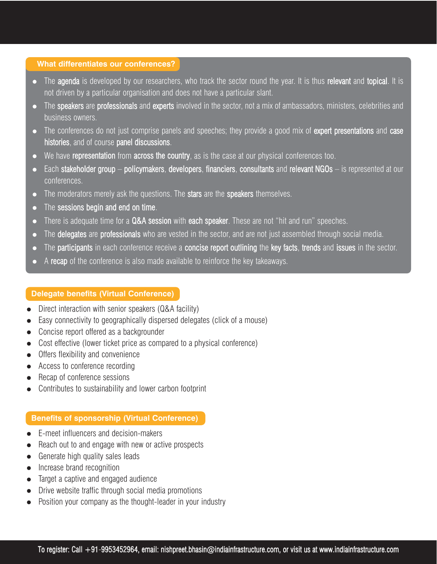#### **What differentiates our conferences?**

- The agenda is developed by our researchers, who track the sector round the year. It is thus relevant and topical. It is not driven by a particular organisation and does not have a particular slant.
- The speakers are professionals and experts involved in the sector, not a mix of ambassadors, ministers, celebrities and business owners.
- The conferences do not just comprise panels and speeches; they provide a good mix of expert presentations and case histories, and of course panel discussions.
- $\bullet$  We have representation from across the country, as is the case at our physical conferences too.
- $\bullet$  Each stakeholder group policymakers, developers, financiers, consultants and relevant NGOs is represented at our conferences.
- The moderators merely ask the questions. The stars are the speakers themselves.
- $\bullet$  The sessions begin and end on time.
- There is adequate time for a Q&A session with each speaker. These are not "hit and run" speeches.
- The delegates are professionals who are vested in the sector, and are not just assembled through social media.
- The participants in each conference receive a concise report outlining the key facts, trends and issues in the sector.
- A recap of the conference is also made available to reinforce the key takeaways.

#### **Delegate benefits (Virtual Conference)**

- Direct interaction with senior speakers (Q&A facility)
- Easy connectivity to geographically dispersed delegates (click of a mouse)
- Concise report offered as a backgrounder
- Cost effective (lower ticket price as compared to a physical conference)
- Offers flexibility and convenience
- Access to conference recording
- Recap of conference sessions
- Contributes to sustainability and lower carbon footprint

### **Benefits of sponsorship (Virtual Conference)**

- E-meet influencers and decision-makers
- Reach out to and engage with new or active prospects
- Generate high quality sales leads
- Increase brand recognition
- Target a captive and engaged audience
- Drive website traffic through social media promotions
- Position your company as the thought-leader in your industry